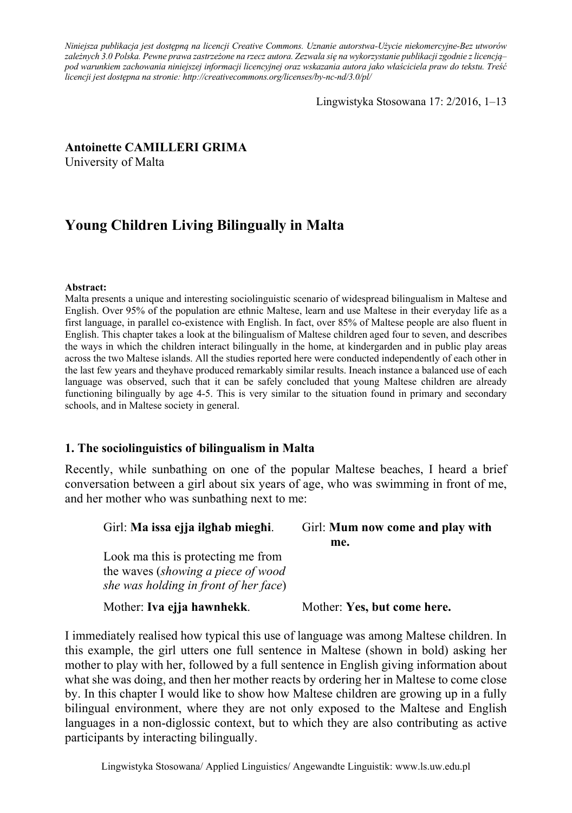*Niniejsza publikacja jest dostępną na licencji Creative Commons. Uznanie autorstwa-Użycie niekomercyjne-Bez utworów zależnych 3.0 Polska. Pewne prawa zastrzeżone na rzecz autora. Zezwala się na wykorzystanie publikacji zgodnie z licencją– pod warunkiem zachowania niniejszej informacji licencyjnej oraz wskazania autora jako właściciela praw do tekstu. Treść licencji jest dostępna na stronie: http://creativecommons.org/licenses/by-nc-nd/3.0/pl/*

Lingwistyka Stosowana 17: 2/2016, 1–13

## **Antoinette CAMILLERI GRIMA**

University of Malta

# **Young Children Living Bilingually in Malta**

#### **Abstract:**

Malta presents a unique and interesting sociolinguistic scenario of widespread bilingualism in Maltese and English. Over 95% of the population are ethnic Maltese, learn and use Maltese in their everyday life as a first language, in parallel co-existence with English. In fact, over 85% of Maltese people are also fluent in English. This chapter takes a look at the bilingualism of Maltese children aged four to seven, and describes the ways in which the children interact bilingually in the home, at kindergarden and in public play areas across the two Maltese islands. All the studies reported here were conducted independently of each other in the last few years and theyhave produced remarkably similar results. Ineach instance a balanced use of each language was observed, such that it can be safely concluded that young Maltese children are already functioning bilingually by age 4-5. This is very similar to the situation found in primary and secondary schools, and in Maltese society in general.

## **1. The sociolinguistics of bilingualism in Malta**

Recently, while sunbathing on one of the popular Maltese beaches, I heard a brief conversation between a girl about six years of age, who was swimming in front of me, and her mother who was sunbathing next to me:

| Girl: Ma issa ejja ilghab mieghi.                                                                                 | Girl: Mum now come and play with<br>me. |
|-------------------------------------------------------------------------------------------------------------------|-----------------------------------------|
| Look ma this is protecting me from<br>the waves (showing a piece of wood<br>she was holding in front of her face) |                                         |
| Mother: Iva ejja hawnhekk.                                                                                        | Mother: Yes, but come here.             |

I immediately realised how typical this use of language was among Maltese children. In this example, the girl utters one full sentence in Maltese (shown in bold) asking her mother to play with her, followed by a full sentence in English giving information about what she was doing, and then her mother reacts by ordering her in Maltese to come close by. In this chapter I would like to show how Maltese children are growing up in a fully bilingual environment, where they are not only exposed to the Maltese and English languages in a non-diglossic context, but to which they are also contributing as active participants by interacting bilingually.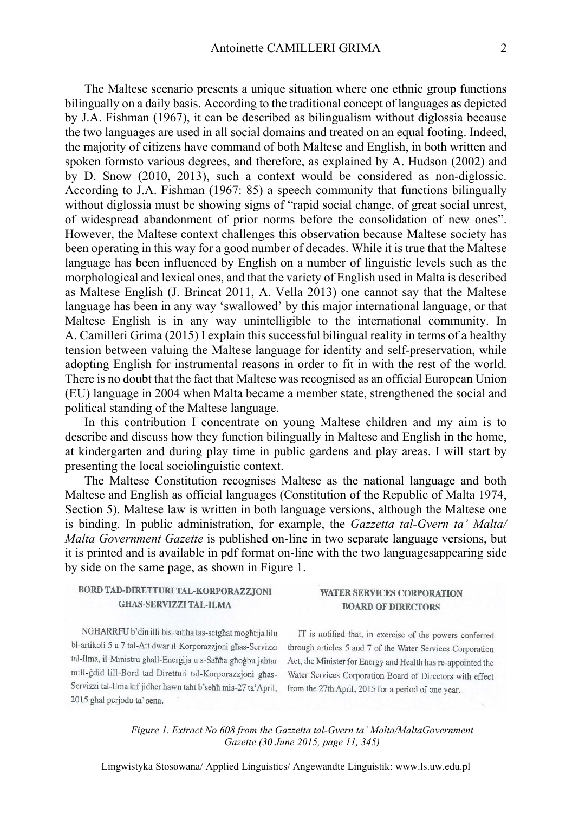The Maltese scenario presents a unique situation where one ethnic group functions bilingually on a daily basis. According to the traditional concept of languages as depicted by J.A. Fishman (1967), it can be described as bilingualism without diglossia because the two languages are used in all social domains and treated on an equal footing. Indeed, the majority of citizens have command of both Maltese and English, in both written and spoken formsto various degrees, and therefore, as explained by A. Hudson (2002) and by D. Snow (2010, 2013), such a context would be considered as non-diglossic. According to J.A. Fishman (1967: 85) a speech community that functions bilingually without diglossia must be showing signs of "rapid social change, of great social unrest, of widespread abandonment of prior norms before the consolidation of new ones". However, the Maltese context challenges this observation because Maltese society has been operating in this way for a good number of decades. While it is true that the Maltese language has been influenced by English on a number of linguistic levels such as the morphological and lexical ones, and that the variety of English used in Malta is described as Maltese English (J. Brincat 2011, A. Vella 2013) one cannot say that the Maltese language has been in any way 'swallowed' by this major international language, or that Maltese English is in any way unintelligible to the international community. In A. Camilleri Grima (2015) I explain this successful bilingual reality in terms of a healthy tension between valuing the Maltese language for identity and self-preservation, while adopting English for instrumental reasons in order to fit in with the rest of the world. There is no doubt that the fact that Maltese was recognised as an official European Union (EU) language in 2004 when Malta became a member state, strengthened the social and political standing of the Maltese language.

In this contribution I concentrate on young Maltese children and my aim is to describe and discuss how they function bilingually in Maltese and English in the home, at kindergarten and during play time in public gardens and play areas. I will start by presenting the local sociolinguistic context.

The Maltese Constitution recognises Maltese as the national language and both Maltese and English as official languages (Constitution of the Republic of Malta 1974, Section 5). Maltese law is written in both language versions, although the Maltese one is binding. In public administration, for example, the *Gazzetta tal-Gvern ta' Malta/ Malta Government Gazette* is published on-line in two separate language versions, but it is printed and is available in pdf format on-line with the two languagesappearing side by side on the same page, as shown in Figure 1.

| BORD TAD-DIRETTURI TAL-KORPORAZZJONI |  |
|--------------------------------------|--|
| <b>GHAS-SERVIZZI TAL-ILMA</b>        |  |

**WATER SERVICES CORPORATION BOARD OF DIRECTORS** 

NGHARRFU b'din illi bis-sahha tas-setghat moghtija lilu bl-artikoli 5 u 7 tal-Att dwar il-Korporazzjoni għas-Servizzi tal-Ilma, il-Ministru ghall-Energija u s-Sahha ghogbu jahtar mill-gdid lill-Bord tad-Diretturi tal-Korporazzjoni għas-Servizzi tal-Ilma kif jidher hawn taht b'sehh mis-27 ta' April, 2015 ghal perjodu ta' sena.

IT is notified that, in exercise of the powers conferred through articles 5 and 7 of the Water Services Corporation Act, the Minister for Energy and Health has re-appointed the Water Services Corporation Board of Directors with effect from the 27th April, 2015 for a period of one year.

*Figure 1. Extract No 608 from the Gazzetta tal-Gvern ta' Malta/MaltaGovernment Gazette (30 June 2015, page 11, 345)* 

Lingwistyka Stosowana/ Applied Linguistics/ Angewandte Linguistik: www.ls.uw.edu.pl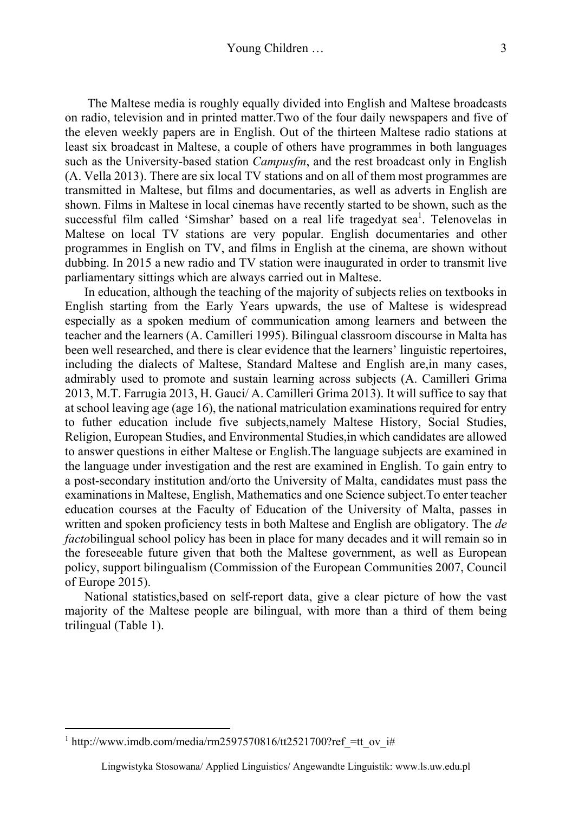The Maltese media is roughly equally divided into English and Maltese broadcasts on radio, television and in printed matter.Two of the four daily newspapers and five of the eleven weekly papers are in English. Out of the thirteen Maltese radio stations at least six broadcast in Maltese, a couple of others have programmes in both languages such as the University-based station *Campusfm*, and the rest broadcast only in English (A. Vella 2013). There are six local TV stations and on all of them most programmes are transmitted in Maltese, but films and documentaries, as well as adverts in English are shown. Films in Maltese in local cinemas have recently started to be shown, such as the successful film called 'Simshar' based on a real life tragedyat sea<sup>1</sup>. Telenovelas in Maltese on local TV stations are very popular. English documentaries and other programmes in English on TV, and films in English at the cinema, are shown without dubbing. In 2015 a new radio and TV station were inaugurated in order to transmit live parliamentary sittings which are always carried out in Maltese.

In education, although the teaching of the majority of subjects relies on textbooks in English starting from the Early Years upwards, the use of Maltese is widespread especially as a spoken medium of communication among learners and between the teacher and the learners (A. Camilleri 1995). Bilingual classroom discourse in Malta has been well researched, and there is clear evidence that the learners' linguistic repertoires, including the dialects of Maltese, Standard Maltese and English are,in many cases, admirably used to promote and sustain learning across subjects (A. Camilleri Grima 2013, M.T. Farrugia 2013, H. Gauci/ A. Camilleri Grima 2013). It will suffice to say that at school leaving age (age 16), the national matriculation examinations required for entry to futher education include five subjects,namely Maltese History, Social Studies, Religion, European Studies, and Environmental Studies,in which candidates are allowed to answer questions in either Maltese or English.The language subjects are examined in the language under investigation and the rest are examined in English. To gain entry to a post-secondary institution and/orto the University of Malta, candidates must pass the examinations in Maltese, English, Mathematics and one Science subject.To enter teacher education courses at the Faculty of Education of the University of Malta, passes in written and spoken proficiency tests in both Maltese and English are obligatory. The *de facto*bilingual school policy has been in place for many decades and it will remain so in the foreseeable future given that both the Maltese government, as well as European policy, support bilingualism (Commission of the European Communities 2007, Council of Europe 2015).

National statistics,based on self-report data, give a clear picture of how the vast majority of the Maltese people are bilingual, with more than a third of them being trilingual (Table 1).

 $\overline{a}$ 

<sup>&</sup>lt;sup>1</sup> http://www.imdb.com/media/rm2597570816/tt2521700?ref =tt\_ov\_i#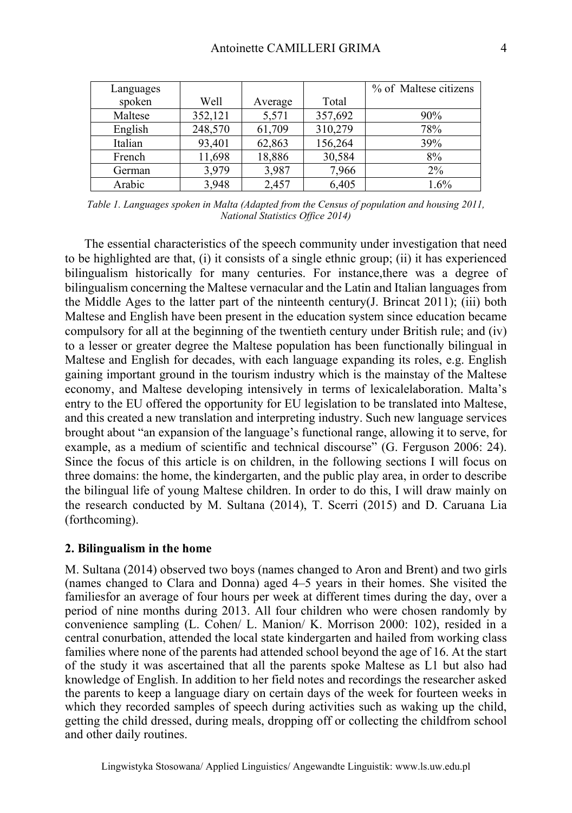| Languages |         |         |         | % of Maltese citizens |
|-----------|---------|---------|---------|-----------------------|
| spoken    | Well    | Average | Total   |                       |
| Maltese   | 352,121 | 5,571   | 357,692 | 90%                   |
| English   | 248,570 | 61,709  | 310,279 | 78%                   |
| Italian   | 93,401  | 62,863  | 156,264 | 39%                   |
| French    | 11,698  | 18,886  | 30,584  | 8%                    |
| German    | 3,979   | 3,987   | 7,966   | $2\%$                 |
| Arabic    | 3,948   | 2,457   | 6,405   | $1.6\%$               |

*Table 1. Languages spoken in Malta (Adapted from the Census of population and housing 2011, National Statistics Office 2014)* 

The essential characteristics of the speech community under investigation that need to be highlighted are that, (i) it consists of a single ethnic group; (ii) it has experienced bilingualism historically for many centuries. For instance,there was a degree of bilingualism concerning the Maltese vernacular and the Latin and Italian languages from the Middle Ages to the latter part of the ninteenth century(J. Brincat 2011); (iii) both Maltese and English have been present in the education system since education became compulsory for all at the beginning of the twentieth century under British rule; and (iv) to a lesser or greater degree the Maltese population has been functionally bilingual in Maltese and English for decades, with each language expanding its roles, e.g. English gaining important ground in the tourism industry which is the mainstay of the Maltese economy, and Maltese developing intensively in terms of lexicalelaboration. Malta's entry to the EU offered the opportunity for EU legislation to be translated into Maltese, and this created a new translation and interpreting industry. Such new language services brought about "an expansion of the language's functional range, allowing it to serve, for example, as a medium of scientific and technical discourse" (G. Ferguson 2006: 24). Since the focus of this article is on children, in the following sections I will focus on three domains: the home, the kindergarten, and the public play area, in order to describe the bilingual life of young Maltese children. In order to do this, I will draw mainly on the research conducted by M. Sultana (2014), T. Scerri (2015) and D. Caruana Lia (forthcoming).

#### **2. Bilingualism in the home**

M. Sultana (2014) observed two boys (names changed to Aron and Brent) and two girls (names changed to Clara and Donna) aged 4–5 years in their homes. She visited the familiesfor an average of four hours per week at different times during the day, over a period of nine months during 2013. All four children who were chosen randomly by convenience sampling (L. Cohen/ L. Manion/ K. Morrison 2000: 102), resided in a central conurbation, attended the local state kindergarten and hailed from working class families where none of the parents had attended school beyond the age of 16. At the start of the study it was ascertained that all the parents spoke Maltese as L1 but also had knowledge of English. In addition to her field notes and recordings the researcher asked the parents to keep a language diary on certain days of the week for fourteen weeks in which they recorded samples of speech during activities such as waking up the child, getting the child dressed, during meals, dropping off or collecting the childfrom school and other daily routines.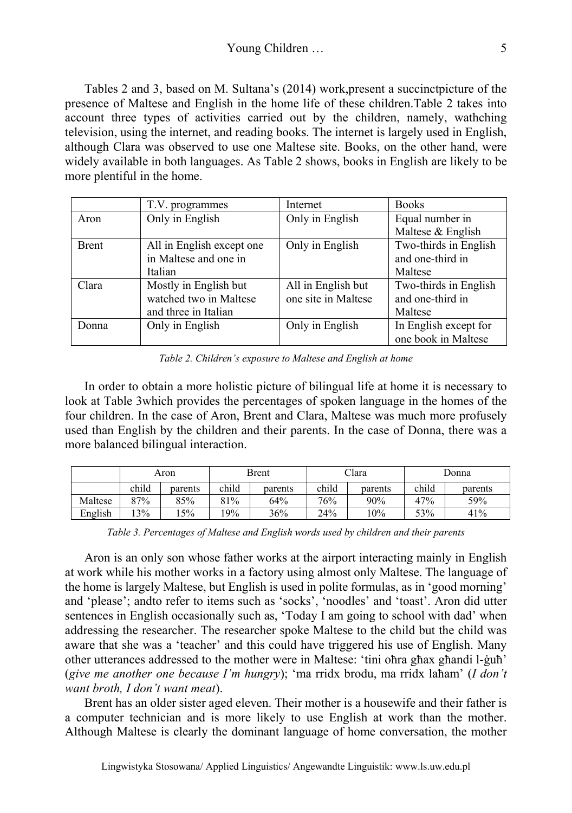Tables 2 and 3, based on M. Sultana's (2014) work,present a succinctpicture of the presence of Maltese and English in the home life of these children.Table 2 takes into account three types of activities carried out by the children, namely, wathching television, using the internet, and reading books. The internet is largely used in English, although Clara was observed to use one Maltese site. Books, on the other hand, were widely available in both languages. As Table 2 shows, books in English are likely to be more plentiful in the home.

|              | T.V. programmes           | Internet            | <b>Books</b>          |
|--------------|---------------------------|---------------------|-----------------------|
| Aron         | Only in English           | Only in English     | Equal number in       |
|              |                           |                     | Maltese & English     |
| <b>Brent</b> | All in English except one | Only in English     | Two-thirds in English |
|              | in Maltese and one in     |                     | and one-third in      |
|              | Italian                   |                     | Maltese               |
| Clara        | Mostly in English but     | All in English but  | Two-thirds in English |
|              | watched two in Maltese    | one site in Maltese | and one-third in      |
|              | and three in Italian      |                     | Maltese               |
| Donna        | Only in English           | Only in English     | In English except for |
|              |                           |                     | one book in Maltese   |

*Table 2. Children's exposure to Maltese and English at home* 

In order to obtain a more holistic picture of bilingual life at home it is necessary to look at Table 3which provides the percentages of spoken language in the homes of the four children. In the case of Aron, Brent and Clara, Maltese was much more profusely used than English by the children and their parents. In the case of Donna, there was a more balanced bilingual interaction.

|         |       | Aron    |       | Brent   |       | Clara   |       | Donna   |
|---------|-------|---------|-------|---------|-------|---------|-------|---------|
|         | child | parents | child | parents | child | parents | child | parents |
| Maltese | 87%   | 85%     | 81%   | 64%     | 76%   | 90%     | 47%   | 59%     |
| English | 13%   | 5%      | 19%   | 36%     | 24%   | 10%     | 53%   | 41%     |

*Table 3. Percentages of Maltese and English words used by children and their parents* 

Aron is an only son whose father works at the airport interacting mainly in English at work while his mother works in a factory using almost only Maltese. The language of the home is largely Maltese, but English is used in polite formulas, as in 'good morning' and 'please'; andto refer to items such as 'socks', 'noodles' and 'toast'. Aron did utter sentences in English occasionally such as, 'Today I am going to school with dad' when addressing the researcher. The researcher spoke Maltese to the child but the child was aware that she was a 'teacher' and this could have triggered his use of English. Many other utterances addressed to the mother were in Maltese: 'tini oħra għax għandi l-ġuħ' (*give me another one because I'm hungry*); 'ma rridx brodu, ma rridx laħam' (*I don't want broth, I don't want meat*).

Brent has an older sister aged eleven. Their mother is a housewife and their father is a computer technician and is more likely to use English at work than the mother. Although Maltese is clearly the dominant language of home conversation, the mother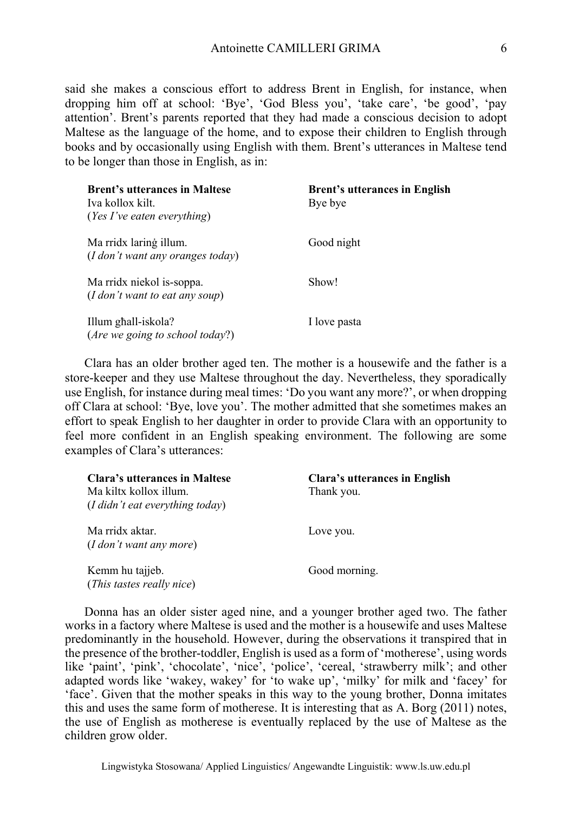said she makes a conscious effort to address Brent in English, for instance, when dropping him off at school: 'Bye', 'God Bless you', 'take care', 'be good', 'pay attention'. Brent's parents reported that they had made a conscious decision to adopt Maltese as the language of the home, and to expose their children to English through books and by occasionally using English with them. Brent's utterances in Maltese tend to be longer than those in English, as in:

| <b>Brent's utterances in Maltese</b><br>Iva kollox kilt<br>( <i>Yes I've eaten everything</i> ) | <b>Brent's utterances in English</b><br>Bye bye |
|-------------------------------------------------------------------------------------------------|-------------------------------------------------|
| Ma rridx laring illum.<br>$(I$ don't want any oranges today)                                    | Good night                                      |
| Ma rridx niekol is-soppa.<br>(I don't want to eat any soup)                                     | Show!                                           |
| Illum ghall-iskola?<br>(Are we going to school today?)                                          | I love pasta                                    |

Clara has an older brother aged ten. The mother is a housewife and the father is a store-keeper and they use Maltese throughout the day. Nevertheless, they sporadically use English, for instance during meal times: 'Do you want any more?', or when dropping off Clara at school: 'Bye, love you'. The mother admitted that she sometimes makes an effort to speak English to her daughter in order to provide Clara with an opportunity to feel more confident in an English speaking environment. The following are some examples of Clara's utterances:

| Clara's utterances in Maltese<br>Ma kiltx kollox illum.<br>(I didn't eat everything today) | Clara's utterances in English<br>Thank you. |
|--------------------------------------------------------------------------------------------|---------------------------------------------|
| Ma rridx aktar.<br>(I don't want any more)                                                 | Love you.                                   |
| Kemm hu tajjeb.<br>(This tastes really nice)                                               | Good morning.                               |

Donna has an older sister aged nine, and a younger brother aged two. The father works in a factory where Maltese is used and the mother is a housewife and uses Maltese predominantly in the household. However, during the observations it transpired that in the presence of the brother-toddler, English is used as a form of 'motherese', using words like 'paint', 'pink', 'chocolate', 'nice', 'police', 'cereal, 'strawberry milk'; and other adapted words like 'wakey, wakey' for 'to wake up', 'milky' for milk and 'facey' for 'face'. Given that the mother speaks in this way to the young brother, Donna imitates this and uses the same form of motherese. It is interesting that as A. Borg (2011) notes, the use of English as motherese is eventually replaced by the use of Maltese as the children grow older.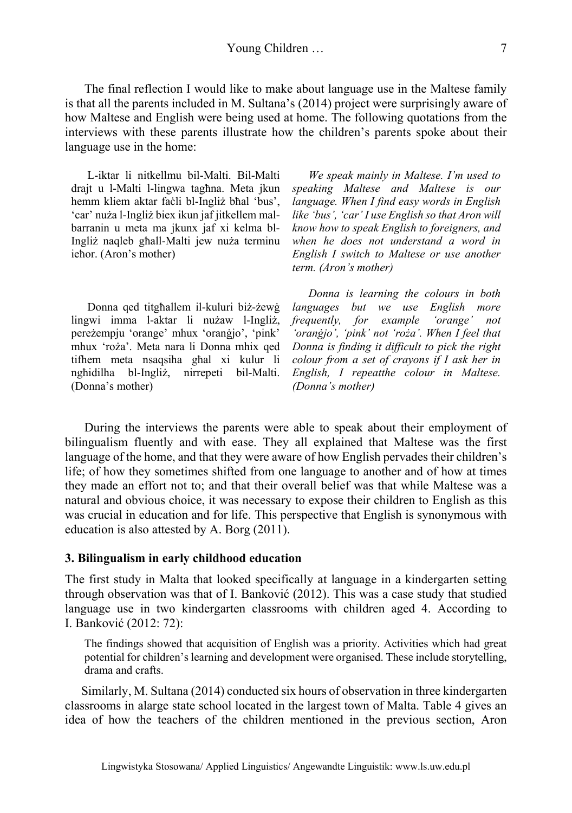The final reflection I would like to make about language use in the Maltese family is that all the parents included in M. Sultana's (2014) project were surprisingly aware of how Maltese and English were being used at home. The following quotations from the interviews with these parents illustrate how the children's parents spoke about their language use in the home:

L-iktar li nitkellmu bil-Malti. Bil-Malti drajt u l-Malti l-lingwa tagħna. Meta jkun hemm kliem aktar faċli bl-Ingliż bħal 'bus', 'car' nuża l-Ingliż biex ikun jaf jitkellem malbarranin u meta ma jkunx jaf xi kelma bl-Ingliż naqleb għall-Malti jew nuża terminu ieħor. (Aron's mother)

Donna qed titgħallem il-kuluri biż-żewġ lingwi imma l-aktar li nużaw l-Ingliż, pereżempju 'orange' mhux 'oranġjo', 'pink' mhux 'roża'. Meta nara li Donna mhix qed tifhem meta nsaqsiha għal xi kulur li ngħidilha bl-Ingliż, nirrepeti bil-Malti. (Donna's mother)

*We speak mainly in Maltese. I'm used to speaking Maltese and Maltese is our language. When I find easy words in English like 'bus', 'car' I use English so that Aron will know how to speak English to foreigners, and when he does not understand a word in English I switch to Maltese or use another term. (Aron's mother)*

*Donna is learning the colours in both languages but we use English more frequently, for example 'orange' not 'oranġjo', 'pink' not 'roża'. When I feel that Donna is finding it difficult to pick the right colour from a set of crayons if I ask her in English, I repeatthe colour in Maltese. (Donna's mother)*

During the interviews the parents were able to speak about their employment of bilingualism fluently and with ease. They all explained that Maltese was the first language of the home, and that they were aware of how English pervades their children's life; of how they sometimes shifted from one language to another and of how at times they made an effort not to; and that their overall belief was that while Maltese was a natural and obvious choice, it was necessary to expose their children to English as this was crucial in education and for life. This perspective that English is synonymous with education is also attested by A. Borg (2011).

## **3. Bilingualism in early childhood education**

The first study in Malta that looked specifically at language in a kindergarten setting through observation was that of I. Banković (2012). This was a case study that studied language use in two kindergarten classrooms with children aged 4. According to I. Banković (2012: 72):

The findings showed that acquisition of English was a priority. Activities which had great potential for children's learning and development were organised. These include storytelling, drama and crafts.

Similarly, M. Sultana (2014) conducted six hours of observation in three kindergarten classrooms in alarge state school located in the largest town of Malta. Table 4 gives an idea of how the teachers of the children mentioned in the previous section, Aron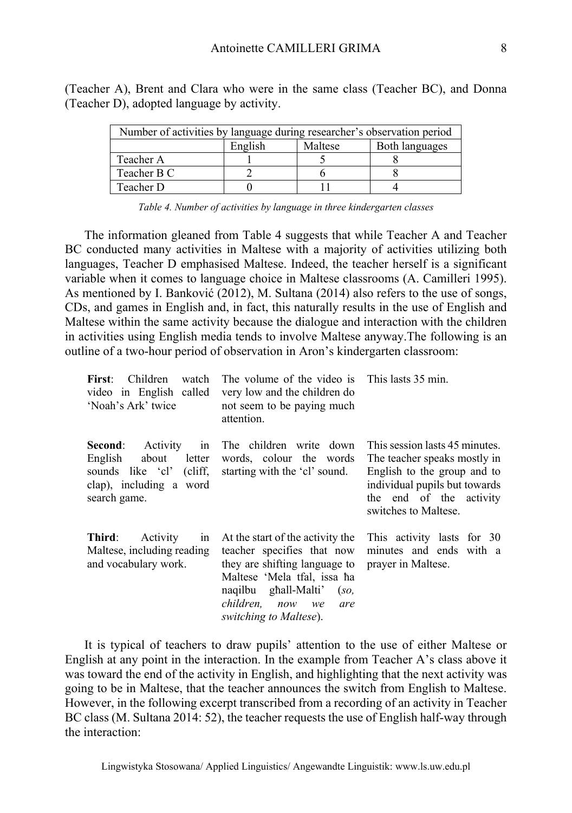| Number of activities by language during researcher's observation period |         |         |                |  |
|-------------------------------------------------------------------------|---------|---------|----------------|--|
|                                                                         | English | Maltese | Both languages |  |
| Teacher A                                                               |         |         |                |  |
| Teacher B C                                                             |         |         |                |  |
| Teacher D                                                               |         |         |                |  |

(Teacher A), Brent and Clara who were in the same class (Teacher BC), and Donna (Teacher D), adopted language by activity.

The information gleaned from Table 4 suggests that while Teacher A and Teacher BC conducted many activities in Maltese with a majority of activities utilizing both languages, Teacher D emphasised Maltese. Indeed, the teacher herself is a significant variable when it comes to language choice in Maltese classrooms (A. Camilleri 1995). As mentioned by I. Banković (2012), M. Sultana (2014) also refers to the use of songs, CDs, and games in English and, in fact, this naturally results in the use of English and Maltese within the same activity because the dialogue and interaction with the children in activities using English media tends to involve Maltese anyway.The following is an outline of a two-hour period of observation in Aron's kindergarten classroom:

| <b>Children</b><br>First:<br>watch<br>video in English called<br>'Noah's Ark' twice                                            | The volume of the video is This lasts 35 min.<br>very low and the children do<br>not seem to be paying much<br>attention.                                                                                           |                                                                                                                                                                                   |
|--------------------------------------------------------------------------------------------------------------------------------|---------------------------------------------------------------------------------------------------------------------------------------------------------------------------------------------------------------------|-----------------------------------------------------------------------------------------------------------------------------------------------------------------------------------|
| Second:<br>Activity<br>in<br>English<br>about<br>letter<br>sounds like 'cl' (cliff,<br>clap), including a word<br>search game. | The children write down<br>words, colour the words<br>starting with the 'cl' sound.                                                                                                                                 | This session lasts 45 minutes.<br>The teacher speaks mostly in<br>English to the group and to<br>individual pupils but towards<br>the end of the activity<br>switches to Maltese. |
| Third:<br>Activity<br>in<br>Maltese, including reading<br>and vocabulary work.                                                 | At the start of the activity the<br>teacher specifies that now<br>they are shifting language to<br>Maltese 'Mela tfal, issa ha<br>naqilbu ghall-Malti'<br>(so,<br>children, now we<br>are<br>switching to Maltese). | This activity lasts for 30<br>minutes and ends with a<br>prayer in Maltese.                                                                                                       |

It is typical of teachers to draw pupils' attention to the use of either Maltese or English at any point in the interaction. In the example from Teacher A's class above it was toward the end of the activity in English, and highlighting that the next activity was going to be in Maltese, that the teacher announces the switch from English to Maltese. However, in the following excerpt transcribed from a recording of an activity in Teacher BC class (M. Sultana 2014: 52), the teacher requests the use of English half-way through the interaction: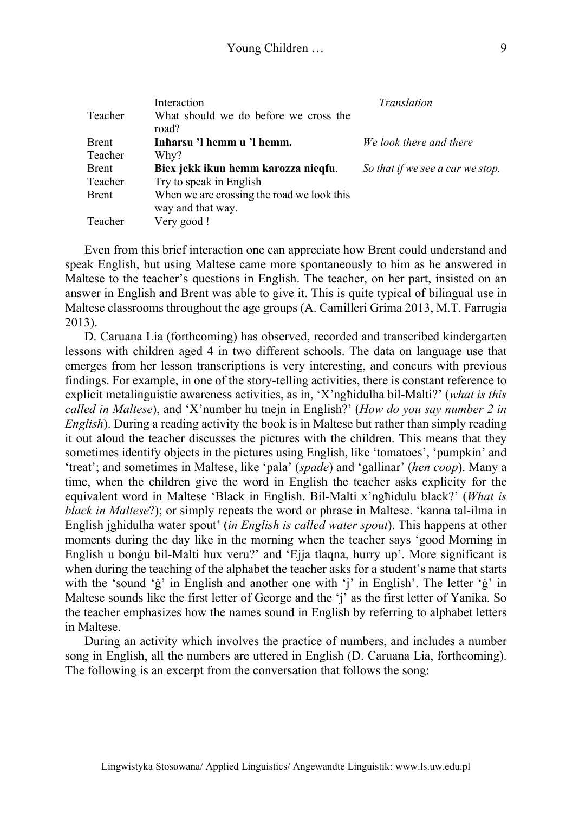| Teacher      | Interaction<br>What should we do before we cross the            | Translation                      |
|--------------|-----------------------------------------------------------------|----------------------------------|
| <b>Brent</b> | road?<br>Inharsu 'l hemm u 'l hemm.                             | We look there and there          |
| Teacher      | Why?                                                            |                                  |
| <b>Brent</b> | Biex jekk ikun hemm karozza nieqfu.                             | So that if we see a car we stop. |
| Teacher      | Try to speak in English                                         |                                  |
| <b>Brent</b> | When we are crossing the road we look this<br>way and that way. |                                  |
| Teacher      | Very good!                                                      |                                  |

Even from this brief interaction one can appreciate how Brent could understand and speak English, but using Maltese came more spontaneously to him as he answered in Maltese to the teacher's questions in English. The teacher, on her part, insisted on an answer in English and Brent was able to give it. This is quite typical of bilingual use in Maltese classrooms throughout the age groups (A. Camilleri Grima 2013, M.T. Farrugia 2013).

D. Caruana Lia (forthcoming) has observed, recorded and transcribed kindergarten lessons with children aged 4 in two different schools. The data on language use that emerges from her lesson transcriptions is very interesting, and concurs with previous findings. For example, in one of the story-telling activities, there is constant reference to explicit metalinguistic awareness activities, as in, 'X'ngħidulha bil-Malti?' (*what is this called in Maltese*), and 'X'number hu tnejn in English?' (*How do you say number 2 in English*). During a reading activity the book is in Maltese but rather than simply reading it out aloud the teacher discusses the pictures with the children. This means that they sometimes identify objects in the pictures using English, like 'tomatoes', 'pumpkin' and 'treat'; and sometimes in Maltese, like 'pala' (*spade*) and 'gallinar' (*hen coop*). Many a time, when the children give the word in English the teacher asks explicity for the equivalent word in Maltese 'Black in English. Bil-Malti x'ngħidulu black?' (*What is black in Maltese*?); or simply repeats the word or phrase in Maltese. 'kanna tal-ilma in English jgħidulha water spout' (*in English is called water spout*). This happens at other moments during the day like in the morning when the teacher says 'good Morning in English u bonġu bil-Malti hux veru?' and 'Ejja tlaqna, hurry up'. More significant is when during the teaching of the alphabet the teacher asks for a student's name that starts with the 'sound 'ġ' in English and another one with 'j' in English'. The letter 'ġ' in Maltese sounds like the first letter of George and the 'j' as the first letter of Yanika. So the teacher emphasizes how the names sound in English by referring to alphabet letters in Maltese.

During an activity which involves the practice of numbers, and includes a number song in English, all the numbers are uttered in English (D. Caruana Lia, forthcoming). The following is an excerpt from the conversation that follows the song: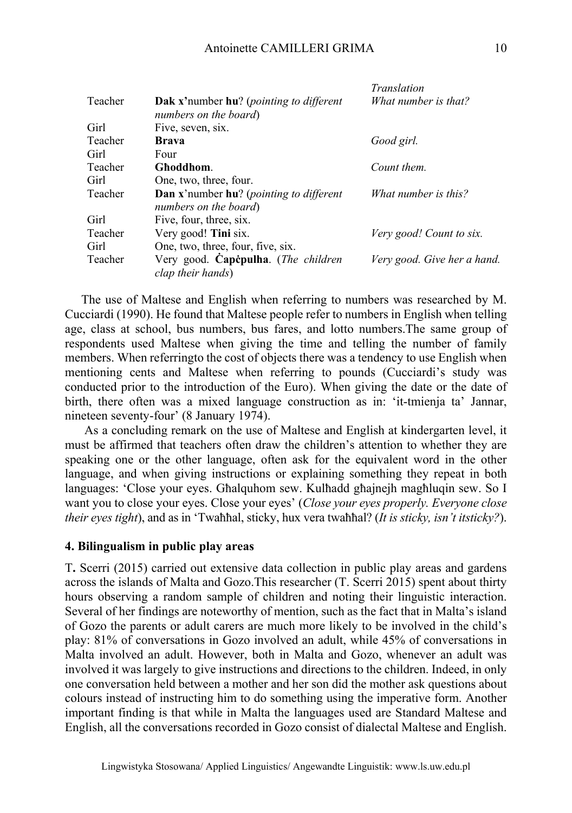|         |                                                                  | <i>Translation</i>          |
|---------|------------------------------------------------------------------|-----------------------------|
| Teacher | Dak x'number hu? (pointing to different<br>numbers on the board) | What number is that?        |
| Girl    | Five, seven, six.                                                |                             |
| Teacher | <b>Brava</b>                                                     | Good girl.                  |
| Girl    | Four                                                             |                             |
| Teacher | Ghoddhom.                                                        | Count them.                 |
| Girl    | One, two, three, four.                                           |                             |
| Teacher | Dan x'number hu? (pointing to different<br>numbers on the board) | What number is this?        |
| Girl    | Five, four, three, six.                                          |                             |
| Teacher | Very good! Tini six.                                             | Very good! Count to six.    |
| Girl    | One, two, three, four, five, six.                                |                             |
| Teacher | Very good. Capcpulha. (The children<br>clap their hands)         | Very good. Give her a hand. |

The use of Maltese and English when referring to numbers was researched by M. Cucciardi (1990). He found that Maltese people refer to numbers in English when telling age, class at school, bus numbers, bus fares, and lotto numbers.The same group of respondents used Maltese when giving the time and telling the number of family members. When referringto the cost of objects there was a tendency to use English when mentioning cents and Maltese when referring to pounds (Cucciardi's study was conducted prior to the introduction of the Euro). When giving the date or the date of birth, there often was a mixed language construction as in: 'it-tmienja ta' Jannar, nineteen seventy-four' (8 January 1974).

As a concluding remark on the use of Maltese and English at kindergarten level, it must be affirmed that teachers often draw the children's attention to whether they are speaking one or the other language, often ask for the equivalent word in the other language, and when giving instructions or explaining something they repeat in both languages: 'Close your eyes. Għalquhom sew. Kulħadd għajnejh magħluqin sew. So I want you to close your eyes. Close your eyes' (*Close your eyes properly. Everyone close their eyes tight*), and as in 'Twaħħal, sticky, hux vera twaħħal? (*It is sticky, isn't itsticky?*).

## **4. Bilingualism in public play areas**

T**.** Scerri (2015) carried out extensive data collection in public play areas and gardens across the islands of Malta and Gozo.This researcher (T. Scerri 2015) spent about thirty hours observing a random sample of children and noting their linguistic interaction. Several of her findings are noteworthy of mention, such as the fact that in Malta's island of Gozo the parents or adult carers are much more likely to be involved in the child's play: 81% of conversations in Gozo involved an adult, while 45% of conversations in Malta involved an adult. However, both in Malta and Gozo, whenever an adult was involved it was largely to give instructions and directions to the children. Indeed, in only one conversation held between a mother and her son did the mother ask questions about colours instead of instructing him to do something using the imperative form. Another important finding is that while in Malta the languages used are Standard Maltese and English, all the conversations recorded in Gozo consist of dialectal Maltese and English.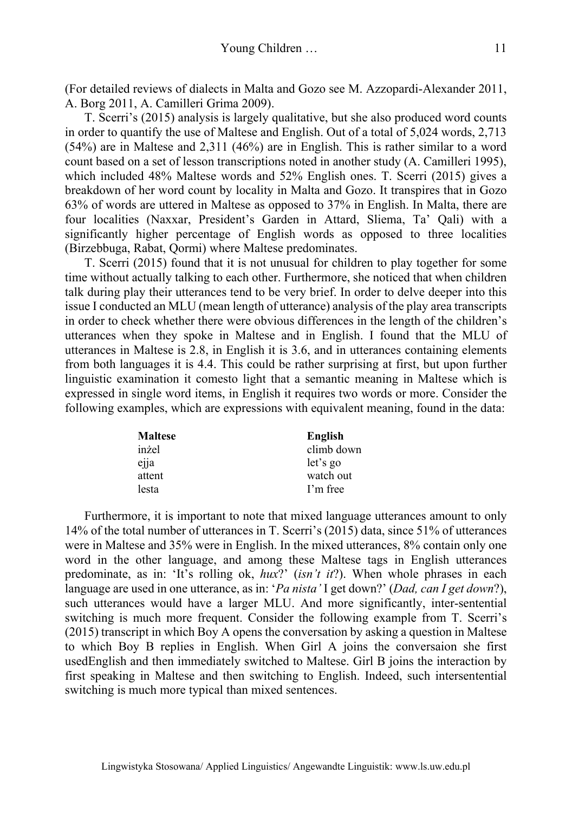(For detailed reviews of dialects in Malta and Gozo see M. Azzopardi-Alexander 2011, A. Borg 2011, A. Camilleri Grima 2009).

T. Scerri's (2015) analysis is largely qualitative, but she also produced word counts in order to quantify the use of Maltese and English. Out of a total of 5,024 words, 2,713 (54%) are in Maltese and 2,311 (46%) are in English. This is rather similar to a word count based on a set of lesson transcriptions noted in another study (A. Camilleri 1995), which included 48% Maltese words and 52% English ones. T. Scerri (2015) gives a breakdown of her word count by locality in Malta and Gozo. It transpires that in Gozo 63% of words are uttered in Maltese as opposed to 37% in English. In Malta, there are four localities (Naxxar, President's Garden in Attard, Sliema, Ta' Qali) with a significantly higher percentage of English words as opposed to three localities (Birzebbuga, Rabat, Qormi) where Maltese predominates.

T. Scerri (2015) found that it is not unusual for children to play together for some time without actually talking to each other. Furthermore, she noticed that when children talk during play their utterances tend to be very brief. In order to delve deeper into this issue I conducted an MLU (mean length of utterance) analysis of the play area transcripts in order to check whether there were obvious differences in the length of the children's utterances when they spoke in Maltese and in English. I found that the MLU of utterances in Maltese is 2.8, in English it is 3.6, and in utterances containing elements from both languages it is 4.4. This could be rather surprising at first, but upon further linguistic examination it comesto light that a semantic meaning in Maltese which is expressed in single word items, in English it requires two words or more. Consider the following examples, which are expressions with equivalent meaning, found in the data:

| <b>Maltese</b> | English    |
|----------------|------------|
| inżel          | climb down |
| ejja           | let's go   |
| attent         | watch out  |
| lesta          | I'm free   |

Furthermore, it is important to note that mixed language utterances amount to only 14% of the total number of utterances in T. Scerri's (2015) data, since 51% of utterances were in Maltese and 35% were in English. In the mixed utterances, 8% contain only one word in the other language, and among these Maltese tags in English utterances predominate, as in: 'It's rolling ok, *hux*?' (*isn't it*?). When whole phrases in each language are used in one utterance, as in: '*Pa nista'* I get down?' (*Dad, can I get down*?), such utterances would have a larger MLU. And more significantly, inter-sentential switching is much more frequent. Consider the following example from T. Scerri's (2015) transcript in which Boy A opens the conversation by asking a question in Maltese to which Boy B replies in English. When Girl A joins the conversaion she first usedEnglish and then immediately switched to Maltese. Girl B joins the interaction by first speaking in Maltese and then switching to English. Indeed, such intersentential switching is much more typical than mixed sentences.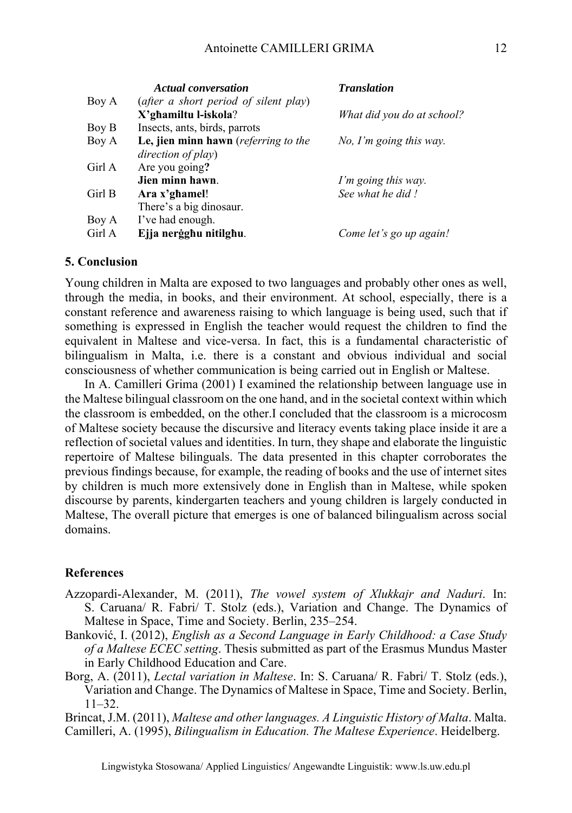|        | <b>Actual conversation</b>            | <b>Translation</b>         |
|--------|---------------------------------------|----------------------------|
| Boy A  | (after a short period of silent play) |                            |
|        | X'ghamiltu l-iskola?                  | What did you do at school? |
| Boy B  | Insects, ants, birds, parrots         |                            |
| Boy A  | Le, jien minn hawn (referring to the  | $No$ , I'm going this way. |
|        | direction of play)                    |                            |
| Girl A | Are you going?                        |                            |
|        | Jien minn hawn.                       | I'm going this way.        |
| Girl B | Ara x'ghamel!                         | See what he did!           |
|        | There's a big dinosaur.               |                            |
| Boy A  | I've had enough.                      |                            |
| Girl A | Ejja nerģghu nitilghu.                | Come let's go up again!    |

### **5. Conclusion**

Young children in Malta are exposed to two languages and probably other ones as well, through the media, in books, and their environment. At school, especially, there is a constant reference and awareness raising to which language is being used, such that if something is expressed in English the teacher would request the children to find the equivalent in Maltese and vice-versa. In fact, this is a fundamental characteristic of bilingualism in Malta, i.e. there is a constant and obvious individual and social consciousness of whether communication is being carried out in English or Maltese.

In A. Camilleri Grima (2001) I examined the relationship between language use in the Maltese bilingual classroom on the one hand, and in the societal context within which the classroom is embedded, on the other.I concluded that the classroom is a microcosm of Maltese society because the discursive and literacy events taking place inside it are a reflection of societal values and identities. In turn, they shape and elaborate the linguistic repertoire of Maltese bilinguals. The data presented in this chapter corroborates the previous findings because, for example, the reading of books and the use of internet sites by children is much more extensively done in English than in Maltese, while spoken discourse by parents, kindergarten teachers and young children is largely conducted in Maltese, The overall picture that emerges is one of balanced bilingualism across social domains.

## **References**

- Azzopardi-Alexander, M. (2011), *The vowel system of Xlukkajr and Naduri*. In: S. Caruana/ R. Fabri/ T. Stolz (eds.), Variation and Change. The Dynamics of Maltese in Space, Time and Society. Berlin, 235–254.
- Banković, I. (2012), *English as a Second Language in Early Childhood: a Case Study of a Maltese ECEC setting*. Thesis submitted as part of the Erasmus Mundus Master in Early Childhood Education and Care.
- Borg, A. (2011), *Lectal variation in Maltese*. In: S. Caruana/ R. Fabri/ T. Stolz (eds.), Variation and Change. The Dynamics of Maltese in Space, Time and Society. Berlin, 11–32.

Brincat, J.M. (2011), *Maltese and other languages. A Linguistic History of Malta*. Malta. Camilleri, A. (1995), *Bilingualism in Education. The Maltese Experience*. Heidelberg.